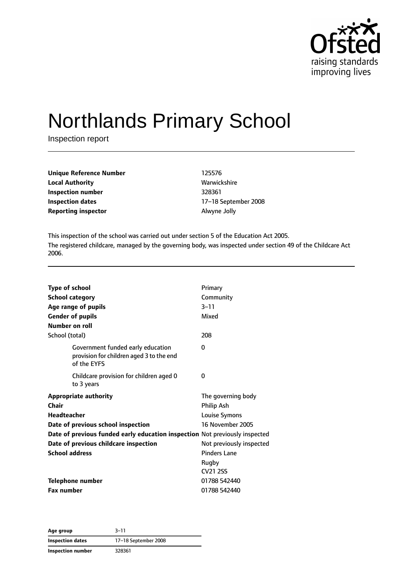

# Northlands Primary School

Inspection report

| <b>Unique Reference Number</b> | 125576       |
|--------------------------------|--------------|
| <b>Local Authority</b>         | Warwickshire |
| Inspection number              | 328361       |
| <b>Inspection dates</b>        | 17-18 Septer |
| <b>Reporting inspector</b>     | Alwyne Jolly |

**Local Authority** Warwickshire **Inspection dates** 17–18 September 2008

This inspection of the school was carried out under section 5 of the Education Act 2005. The registered childcare, managed by the governing body, was inspected under section 49 of the Childcare Act 2006.

| <b>Type of school</b><br><b>School category</b> |                                                                                              | Primary<br>Community             |
|-------------------------------------------------|----------------------------------------------------------------------------------------------|----------------------------------|
|                                                 | Age range of pupils                                                                          | $3 - 11$                         |
| <b>Gender of pupils</b>                         |                                                                                              | Mixed                            |
| Number on roll                                  |                                                                                              |                                  |
| School (total)                                  |                                                                                              | 208                              |
|                                                 | Government funded early education<br>provision for children aged 3 to the end<br>of the EYFS | 0                                |
|                                                 | Childcare provision for children aged 0<br>to 3 years                                        | 0                                |
| <b>Chair</b>                                    | <b>Appropriate authority</b>                                                                 | The governing body<br>Philip Ash |
| <b>Headteacher</b>                              |                                                                                              | Louise Symons                    |
|                                                 | Date of previous school inspection                                                           | 16 November 2005                 |
|                                                 | Date of previous funded early education inspection Not previously inspected                  |                                  |
|                                                 | Date of previous childcare inspection                                                        | Not previously inspected         |
| <b>School address</b>                           |                                                                                              | <b>Pinders Lane</b>              |
|                                                 |                                                                                              | Rugby<br>CV <sub>21</sub> 2SS    |
| <b>Telephone number</b>                         |                                                                                              | 01788 542440                     |
| <b>Fax number</b>                               |                                                                                              | 01788 542440                     |

**Age group** 3–11 **Inspection dates** 17–18 September 2008 **Inspection number** 328361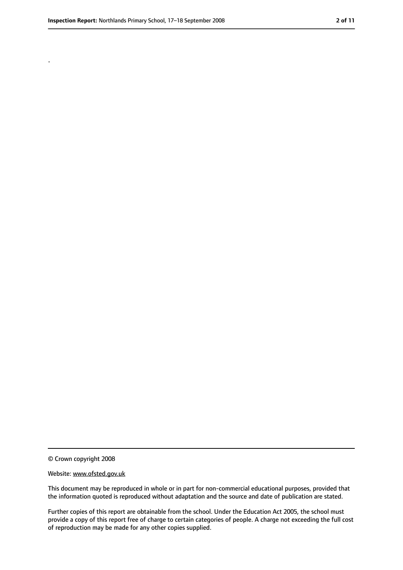.

<sup>©</sup> Crown copyright 2008

Website: www.ofsted.gov.uk

This document may be reproduced in whole or in part for non-commercial educational purposes, provided that the information quoted is reproduced without adaptation and the source and date of publication are stated.

Further copies of this report are obtainable from the school. Under the Education Act 2005, the school must provide a copy of this report free of charge to certain categories of people. A charge not exceeding the full cost of reproduction may be made for any other copies supplied.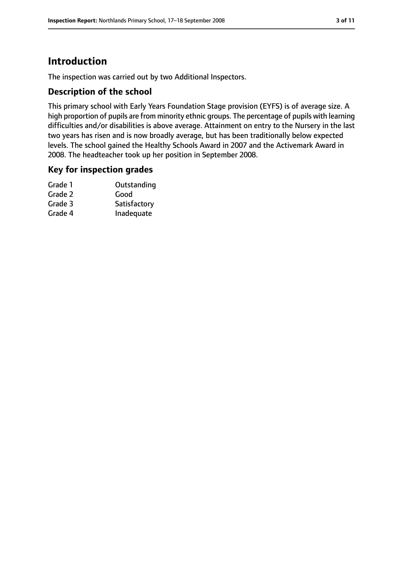# **Introduction**

The inspection was carried out by two Additional Inspectors.

#### **Description of the school**

This primary school with Early Years Foundation Stage provision (EYFS) is of average size. A high proportion of pupils are from minority ethnic groups. The percentage of pupils with learning difficulties and/or disabilities is above average. Attainment on entry to the Nursery in the last two years has risen and is now broadly average, but has been traditionally below expected levels. The school gained the Healthy Schools Award in 2007 and the Activemark Award in 2008. The headteacher took up her position in September 2008.

#### **Key for inspection grades**

| Grade 1 | Outstanding  |
|---------|--------------|
| Grade 2 | Good         |
| Grade 3 | Satisfactory |
| Grade 4 | Inadequate   |
|         |              |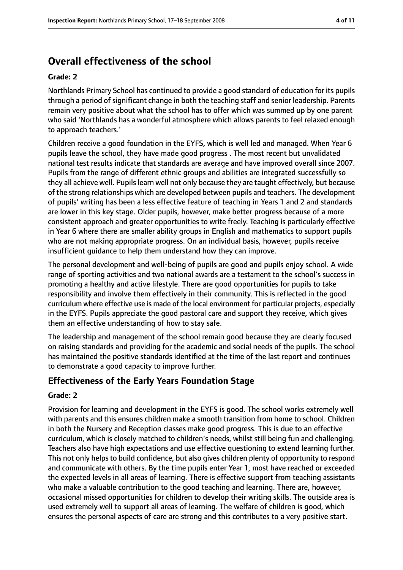# **Overall effectiveness of the school**

#### **Grade: 2**

Northlands Primary School has continued to provide a good standard of education for its pupils through a period of significant change in both the teaching staff and senior leadership. Parents remain very positive about what the school has to offer which was summed up by one parent who said 'Northlands has a wonderful atmosphere which allows parents to feel relaxed enough to approach teachers.'

Children receive a good foundation in the EYFS, which is well led and managed. When Year 6 pupils leave the school, they have made good progress . The most recent but unvalidated national test results indicate that standards are average and have improved overall since 2007. Pupils from the range of different ethnic groups and abilities are integrated successfully so they all achieve well. Pupils learn well not only because they are taught effectively, but because of the strong relationships which are developed between pupils and teachers. The development of pupils' writing has been a less effective feature of teaching in Years 1 and 2 and standards are lower in this key stage. Older pupils, however, make better progress because of a more consistent approach and greater opportunities to write freely. Teaching is particularly effective in Year 6 where there are smaller ability groups in English and mathematics to support pupils who are not making appropriate progress. On an individual basis, however, pupils receive insufficient guidance to help them understand how they can improve.

The personal development and well-being of pupils are good and pupils enjoy school. A wide range of sporting activities and two national awards are a testament to the school's success in promoting a healthy and active lifestyle. There are good opportunities for pupils to take responsibility and involve them effectively in their community. This is reflected in the good curriculum where effective use is made of the local environment for particular projects, especially in the EYFS. Pupils appreciate the good pastoral care and support they receive, which gives them an effective understanding of how to stay safe.

The leadership and management of the school remain good because they are clearly focused on raising standards and providing for the academic and social needs of the pupils. The school has maintained the positive standards identified at the time of the last report and continues to demonstrate a good capacity to improve further.

## **Effectiveness of the Early Years Foundation Stage**

#### **Grade: 2**

Provision for learning and development in the EYFS is good. The school works extremely well with parents and this ensures children make a smooth transition from home to school. Children in both the Nursery and Reception classes make good progress. This is due to an effective curriculum, which is closely matched to children's needs, whilst still being fun and challenging. Teachers also have high expectations and use effective questioning to extend learning further. This not only helps to build confidence, but also gives children plenty of opportunity to respond and communicate with others. By the time pupils enter Year 1, most have reached or exceeded the expected levels in all areas of learning. There is effective support from teaching assistants who make a valuable contribution to the good teaching and learning. There are, however, occasional missed opportunities for children to develop their writing skills. The outside area is used extremely well to support all areas of learning. The welfare of children is good, which ensures the personal aspects of care are strong and this contributes to a very positive start.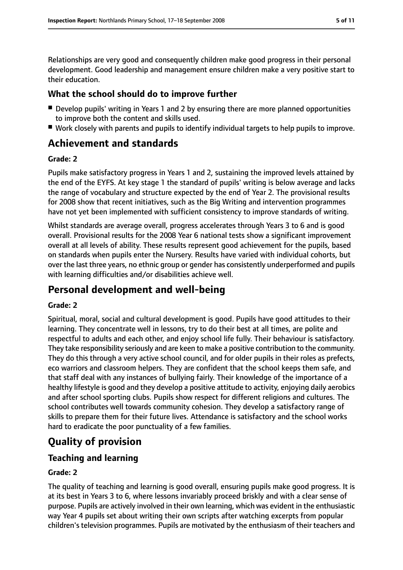Relationships are very good and consequently children make good progress in their personal development. Good leadership and management ensure children make a very positive start to their education.

### **What the school should do to improve further**

- Develop pupils' writing in Years 1 and 2 by ensuring there are more planned opportunities to improve both the content and skills used.
- Work closely with parents and pupils to identify individual targets to help pupils to improve.

# **Achievement and standards**

#### **Grade: 2**

Pupils make satisfactory progress in Years 1 and 2, sustaining the improved levels attained by the end of the EYFS. At key stage 1 the standard of pupils' writing is below average and lacks the range of vocabulary and structure expected by the end of Year 2. The provisional results for 2008 show that recent initiatives, such as the Big Writing and intervention programmes have not yet been implemented with sufficient consistency to improve standards of writing.

Whilst standards are average overall, progress accelerates through Years 3 to 6 and is good overall. Provisional results for the 2008 Year 6 national tests show a significant improvement overall at all levels of ability. These results represent good achievement for the pupils, based on standards when pupils enter the Nursery. Results have varied with individual cohorts, but over the last three years, no ethnic group or gender has consistently underperformed and pupils with learning difficulties and/or disabilities achieve well.

# **Personal development and well-being**

#### **Grade: 2**

Spiritual, moral, social and cultural development is good. Pupils have good attitudes to their learning. They concentrate well in lessons, try to do their best at all times, are polite and respectful to adults and each other, and enjoy school life fully. Their behaviour is satisfactory. They take responsibility seriously and are keen to make a positive contribution to the community. They do this through a very active school council, and for older pupils in their roles as prefects, eco warriors and classroom helpers. They are confident that the school keeps them safe, and that staff deal with any instances of bullying fairly. Their knowledge of the importance of a healthy lifestyle is good and they develop a positive attitude to activity, enjoying daily aerobics and after school sporting clubs. Pupils show respect for different religions and cultures. The school contributes well towards community cohesion. They develop a satisfactory range of skills to prepare them for their future lives. Attendance is satisfactory and the school works hard to eradicate the poor punctuality of a few families.

# **Quality of provision**

## **Teaching and learning**

#### **Grade: 2**

The quality of teaching and learning is good overall, ensuring pupils make good progress. It is at its best in Years 3 to 6, where lessons invariably proceed briskly and with a clear sense of purpose. Pupils are actively involved in their own learning, which was evident in the enthusiastic way Year 4 pupils set about writing their own scripts after watching excerpts from popular children's television programmes. Pupils are motivated by the enthusiasm of their teachers and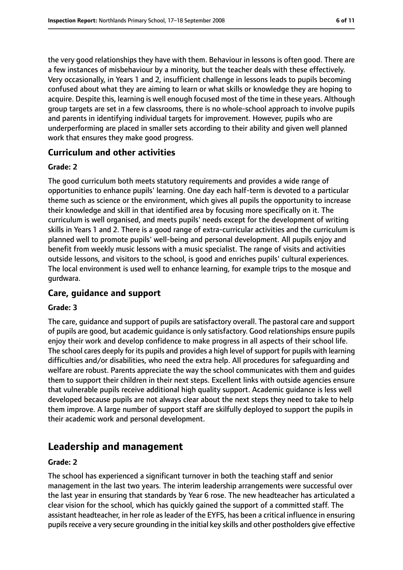the very good relationships they have with them. Behaviour in lessons is often good. There are a few instances of misbehaviour by a minority, but the teacher deals with these effectively. Very occasionally, in Years 1 and 2, insufficient challenge in lessons leads to pupils becoming confused about what they are aiming to learn or what skills or knowledge they are hoping to acquire. Despite this, learning is well enough focused most of the time in these years. Although group targets are set in a few classrooms, there is no whole-school approach to involve pupils and parents in identifying individual targets for improvement. However, pupils who are underperforming are placed in smaller sets according to their ability and given well planned work that ensures they make good progress.

#### **Curriculum and other activities**

#### **Grade: 2**

The good curriculum both meets statutory requirements and provides a wide range of opportunities to enhance pupils' learning. One day each half-term is devoted to a particular theme such as science or the environment, which gives all pupils the opportunity to increase their knowledge and skill in that identified area by focusing more specifically on it. The curriculum is well organised, and meets pupils' needs except for the development of writing skills in Years 1 and 2. There is a good range of extra-curricular activities and the curriculum is planned well to promote pupils' well-being and personal development. All pupils enjoy and benefit from weekly music lessons with a music specialist. The range of visits and activities outside lessons, and visitors to the school, is good and enriches pupils' cultural experiences. The local environment is used well to enhance learning, for example trips to the mosque and gurdwara.

## **Care, guidance and support**

#### **Grade: 3**

The care, guidance and support of pupils are satisfactory overall. The pastoral care and support of pupils are good, but academic guidance is only satisfactory. Good relationships ensure pupils enjoy their work and develop confidence to make progress in all aspects of their school life. The school cares deeply for its pupils and provides a high level of support for pupils with learning difficulties and/or disabilities, who need the extra help. All procedures for safeguarding and welfare are robust. Parents appreciate the way the school communicates with them and guides them to support their children in their next steps. Excellent links with outside agencies ensure that vulnerable pupils receive additional high quality support. Academic guidance is less well developed because pupils are not always clear about the next steps they need to take to help them improve. A large number of support staff are skilfully deployed to support the pupils in their academic work and personal development.

# **Leadership and management**

#### **Grade: 2**

The school has experienced a significant turnover in both the teaching staff and senior management in the last two years. The interim leadership arrangements were successful over the last year in ensuring that standards by Year 6 rose. The new headteacher has articulated a clear vision for the school, which has quickly gained the support of a committed staff. The assistant headteacher, in her role as leader of the EYFS, has been a critical influence in ensuring pupils receive a very secure grounding in the initial key skills and other postholders give effective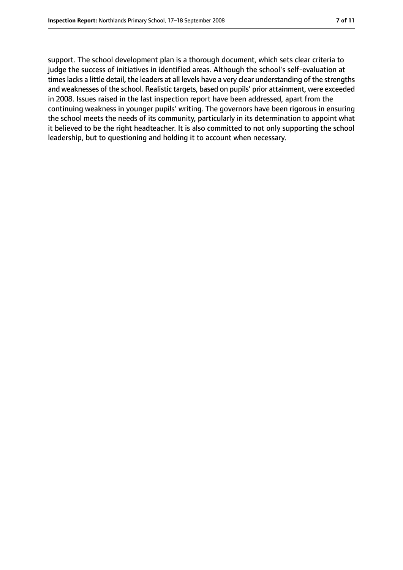support. The school development plan is a thorough document, which sets clear criteria to judge the success of initiatives in identified areas. Although the school's self-evaluation at timeslacks a little detail, the leaders at all levels have a very clear understanding of the strengths and weaknesses of the school. Realistic targets, based on pupils' prior attainment, were exceeded in 2008. Issues raised in the last inspection report have been addressed, apart from the continuing weakness in younger pupils' writing. The governors have been rigorous in ensuring the school meets the needs of its community, particularly in its determination to appoint what it believed to be the right headteacher. It is also committed to not only supporting the school leadership, but to questioning and holding it to account when necessary.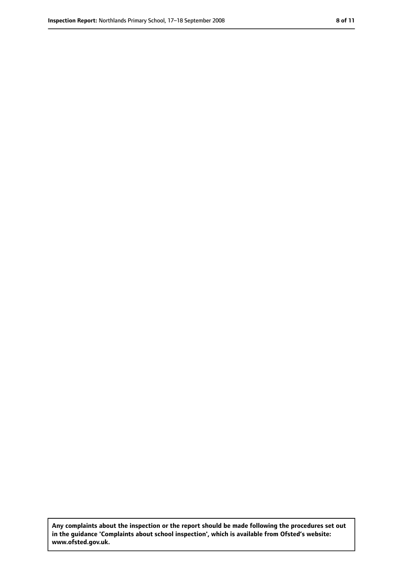**Any complaints about the inspection or the report should be made following the procedures set out in the guidance 'Complaints about school inspection', which is available from Ofsted's website: www.ofsted.gov.uk.**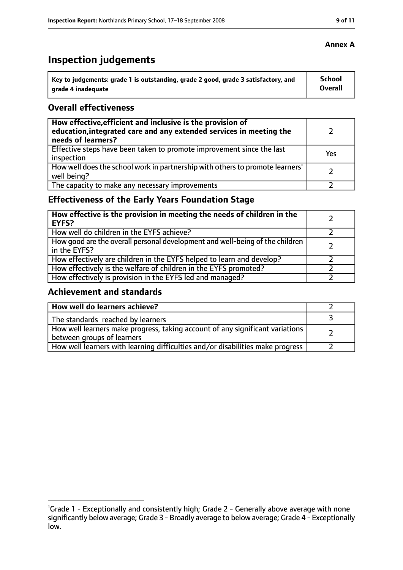# **Inspection judgements**

| Key to judgements: grade 1 is outstanding, grade 2 good, grade 3 satisfactory, and | <b>School</b>  |
|------------------------------------------------------------------------------------|----------------|
| arade 4 inadequate                                                                 | <b>Overall</b> |

#### **Overall effectiveness**

| How effective, efficient and inclusive is the provision of<br>education, integrated care and any extended services in meeting the<br>needs of learners? |     |
|---------------------------------------------------------------------------------------------------------------------------------------------------------|-----|
| Effective steps have been taken to promote improvement since the last<br>inspection                                                                     | Yes |
| How well does the school work in partnership with others to promote learners'<br>well being?                                                            |     |
| The capacity to make any necessary improvements                                                                                                         |     |

# **Effectiveness of the Early Years Foundation Stage**

| How effective is the provision in meeting the needs of children in the<br><b>EYFS?</b>       |  |
|----------------------------------------------------------------------------------------------|--|
| How well do children in the EYFS achieve?                                                    |  |
| How good are the overall personal development and well-being of the children<br>in the EYFS? |  |
| How effectively are children in the EYFS helped to learn and develop?                        |  |
| How effectively is the welfare of children in the EYFS promoted?                             |  |
| How effectively is provision in the EYFS led and managed?                                    |  |

## **Achievement and standards**

| How well do learners achieve?                                                                               |  |
|-------------------------------------------------------------------------------------------------------------|--|
| The standards <sup>1</sup> reached by learners                                                              |  |
| How well learners make progress, taking account of any significant variations<br>between groups of learners |  |
| How well learners with learning difficulties and/or disabilities make progress                              |  |

#### **Annex A**

<sup>&</sup>lt;sup>1</sup>Grade 1 - Exceptionally and consistently high; Grade 2 - Generally above average with none significantly below average; Grade 3 - Broadly average to below average; Grade 4 - Exceptionally low.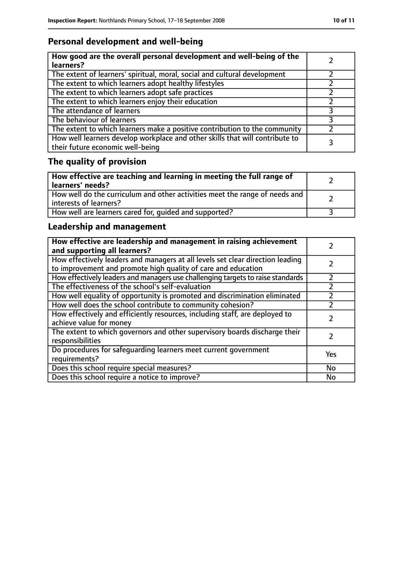# **Personal development and well-being**

| How good are the overall personal development and well-being of the<br>learners?                                 |  |
|------------------------------------------------------------------------------------------------------------------|--|
| The extent of learners' spiritual, moral, social and cultural development                                        |  |
| The extent to which learners adopt healthy lifestyles                                                            |  |
| The extent to which learners adopt safe practices                                                                |  |
| The extent to which learners enjoy their education                                                               |  |
| The attendance of learners                                                                                       |  |
| The behaviour of learners                                                                                        |  |
| The extent to which learners make a positive contribution to the community                                       |  |
| How well learners develop workplace and other skills that will contribute to<br>their future economic well-being |  |

# **The quality of provision**

| How effective are teaching and learning in meeting the full range of<br>learners' needs?              |  |
|-------------------------------------------------------------------------------------------------------|--|
| How well do the curriculum and other activities meet the range of needs and<br>interests of learners? |  |
| How well are learners cared for, quided and supported?                                                |  |

# **Leadership and management**

| How effective are leadership and management in raising achievement<br>and supporting all learners?                                              |     |
|-------------------------------------------------------------------------------------------------------------------------------------------------|-----|
| How effectively leaders and managers at all levels set clear direction leading<br>to improvement and promote high quality of care and education |     |
| How effectively leaders and managers use challenging targets to raise standards                                                                 |     |
| The effectiveness of the school's self-evaluation                                                                                               |     |
| How well equality of opportunity is promoted and discrimination eliminated                                                                      |     |
| How well does the school contribute to community cohesion?                                                                                      |     |
| How effectively and efficiently resources, including staff, are deployed to<br>achieve value for money                                          |     |
| The extent to which governors and other supervisory boards discharge their<br>responsibilities                                                  |     |
| Do procedures for safequarding learners meet current government<br>requirements?                                                                | Yes |
| Does this school require special measures?                                                                                                      | No  |
| Does this school require a notice to improve?                                                                                                   | No  |